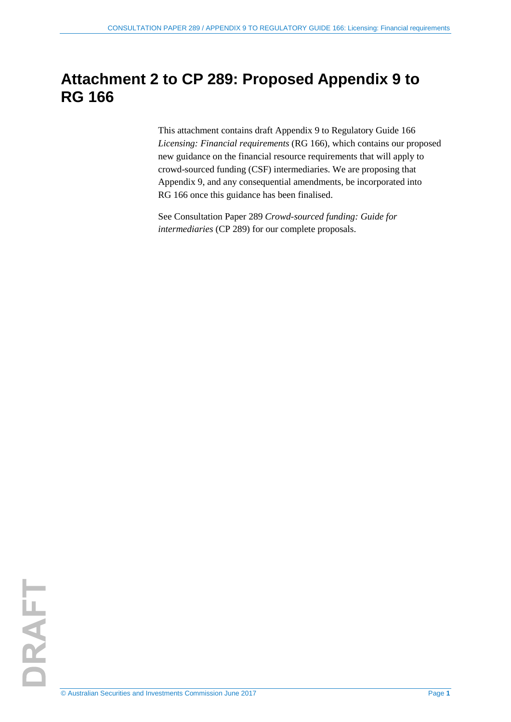# **Attachment 2 to CP 289: Proposed Appendix 9 to RG 166**

This attachment contains draft Appendix 9 to Regulatory Guide 166 *Licensing: Financial requirements* (RG 166), which contains our proposed new guidance on the financial resource requirements that will apply to crowd-sourced funding (CSF) intermediaries. We are proposing that Appendix 9, and any consequential amendments, be incorporated into RG 166 once this guidance has been finalised.

See Consultation Paper 289 *Crowd-sourced funding: Guide for intermediaries* (CP 289) for our complete proposals.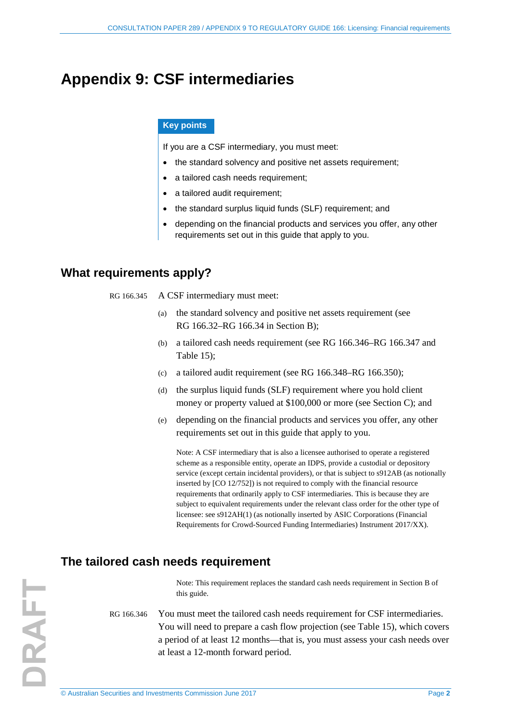## **Appendix 9: CSF intermediaries**

#### **Key points**

If you are a CSF intermediary, you must meet:

- the standard solvency and positive net assets requirement;
- a tailored cash needs requirement;
- a tailored audit requirement;
- the standard surplus liquid funds (SLF) requirement; and
- depending on the financial products and services you offer, any other requirements set out in this guide that apply to you.

## **What requirements apply?**

- RG 166.345 A CSF intermediary must meet:
	- (a) the standard solvency and positive net assets requirement (see RG 166.32–RG 166.34 in Section B);
	- (b) a tailored cash needs requirement (see [RG 166.346](#page-1-0)[–RG 166.347](#page-2-0) and Table 15);
	- (c) a tailored audit requirement (see [RG 166.348–](#page-2-1)[RG 166.350\)](#page-3-0);
	- (d) the surplus liquid funds (SLF) requirement where you hold client money or property valued at \$100,000 or more (see Section C); and
	- (e) depending on the financial products and services you offer, any other requirements set out in this guide that apply to you.

Note: A CSF intermediary that is also a licensee authorised to operate a registered scheme as a responsible entity, operate an IDPS, provide a custodial or depository service (except certain incidental providers), or that is subject to s912AB (as notionally inserted by [CO 12/752]) is not required to comply with the financial resource requirements that ordinarily apply to CSF intermediaries. This is because they are subject to equivalent requirements under the relevant class order for the other type of licensee: see s912AH(1) (as notionally inserted by ASIC Corporations (Financial Requirements for Crowd-Sourced Funding Intermediaries) Instrument 2017/XX).

## **The tailored cash needs requirement**

Note: This requirement replaces the standard cash needs requirement in Section B of this guide.

<span id="page-1-0"></span>RG 166.346 You must meet the tailored cash needs requirement for CSF intermediaries. You will need to prepare a cash flow projection (see Table 15), which covers a period of at least 12 months—that is, you must assess your cash needs over at least a 12-month forward period.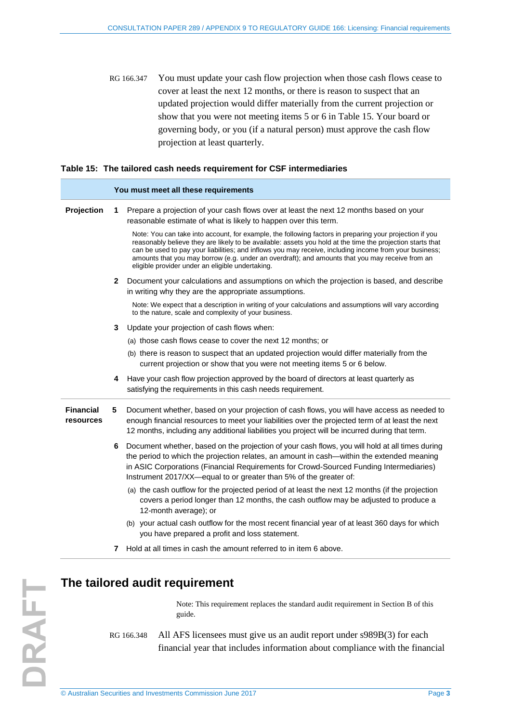<span id="page-2-0"></span>RG 166.347 You must update your cash flow projection when those cash flows cease to cover at least the next 12 months, or there is reason to suspect that an updated projection would differ materially from the current projection or show that you were not meeting items 5 or 6 in Table 15. Your board or governing body, or you (if a natural person) must approve the cash flow projection at least quarterly.

#### **Table 15: The tailored cash needs requirement for CSF intermediaries**

|                               | You must meet all these requirements |                                                                                                                                                                                                                                                                                                                                                                                                                                                                                        |
|-------------------------------|--------------------------------------|----------------------------------------------------------------------------------------------------------------------------------------------------------------------------------------------------------------------------------------------------------------------------------------------------------------------------------------------------------------------------------------------------------------------------------------------------------------------------------------|
| Projection                    | 1.                                   | Prepare a projection of your cash flows over at least the next 12 months based on your<br>reasonable estimate of what is likely to happen over this term.                                                                                                                                                                                                                                                                                                                              |
|                               |                                      | Note: You can take into account, for example, the following factors in preparing your projection if you<br>reasonably believe they are likely to be available: assets you hold at the time the projection starts that<br>can be used to pay your liabilities; and inflows you may receive, including income from your business;<br>amounts that you may borrow (e.g. under an overdraft); and amounts that you may receive from an<br>eligible provider under an eligible undertaking. |
|                               | 2                                    | Document your calculations and assumptions on which the projection is based, and describe<br>in writing why they are the appropriate assumptions.                                                                                                                                                                                                                                                                                                                                      |
|                               |                                      | Note: We expect that a description in writing of your calculations and assumptions will vary according<br>to the nature, scale and complexity of your business.                                                                                                                                                                                                                                                                                                                        |
|                               | 3                                    | Update your projection of cash flows when:                                                                                                                                                                                                                                                                                                                                                                                                                                             |
|                               |                                      | (a) those cash flows cease to cover the next 12 months; or                                                                                                                                                                                                                                                                                                                                                                                                                             |
|                               |                                      | (b) there is reason to suspect that an updated projection would differ materially from the<br>current projection or show that you were not meeting items 5 or 6 below.                                                                                                                                                                                                                                                                                                                 |
|                               | 4                                    | Have your cash flow projection approved by the board of directors at least quarterly as<br>satisfying the requirements in this cash needs requirement.                                                                                                                                                                                                                                                                                                                                 |
| <b>Financial</b><br>resources | 5                                    | Document whether, based on your projection of cash flows, you will have access as needed to<br>enough financial resources to meet your liabilities over the projected term of at least the next<br>12 months, including any additional liabilities you project will be incurred during that term.                                                                                                                                                                                      |
|                               | 6                                    | Document whether, based on the projection of your cash flows, you will hold at all times during<br>the period to which the projection relates, an amount in cash—within the extended meaning<br>in ASIC Corporations (Financial Requirements for Crowd-Sourced Funding Intermediaries)<br>Instrument 2017/XX-equal to or greater than 5% of the greater of:                                                                                                                            |
|                               |                                      | (a) the cash outflow for the projected period of at least the next 12 months (if the projection<br>covers a period longer than 12 months, the cash outflow may be adjusted to produce a<br>12-month average); or                                                                                                                                                                                                                                                                       |
|                               |                                      | (b) your actual cash outflow for the most recent financial year of at least 360 days for which<br>you have prepared a profit and loss statement.                                                                                                                                                                                                                                                                                                                                       |
|                               | 7                                    | Hold at all times in cash the amount referred to in item 6 above.                                                                                                                                                                                                                                                                                                                                                                                                                      |

## <span id="page-2-1"></span>**The tailored audit requirement**

Note: This requirement replaces the standard audit requirement in Section B of this guide.

RG 166.348 All AFS licensees must give us an audit report under s989B(3) for each financial year that includes information about compliance with the financial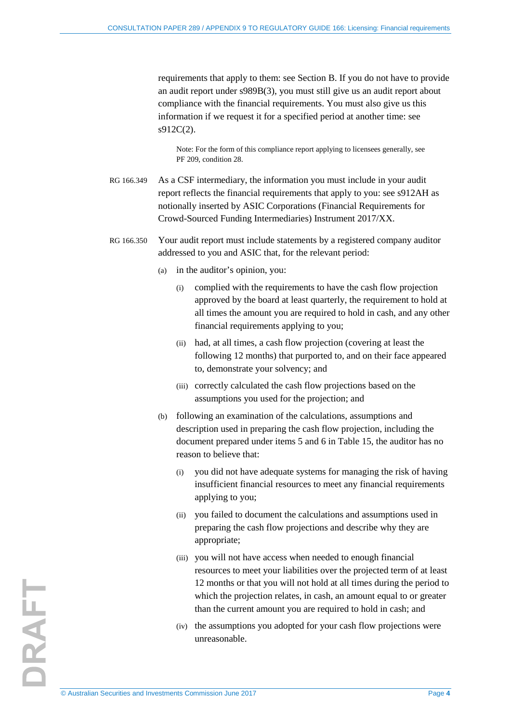requirements that apply to them: see Section B. If you do not have to provide an audit report under s989B(3), you must still give us an audit report about compliance with the financial requirements. You must also give us this information if we request it for a specified period at another time: see s912C(2).

Note: For the form of this compliance report applying to licensees generally, see PF 209, condition 28.

- RG 166.349 As a CSF intermediary, the information you must include in your audit report reflects the financial requirements that apply to you: see s912AH as notionally inserted by ASIC Corporations (Financial Requirements for Crowd-Sourced Funding Intermediaries) Instrument 2017/XX.
- <span id="page-3-0"></span>RG 166.350 Your audit report must include statements by a registered company auditor addressed to you and ASIC that, for the relevant period:
	- (a) in the auditor's opinion, you:
		- (i) complied with the requirements to have the cash flow projection approved by the board at least quarterly, the requirement to hold at all times the amount you are required to hold in cash, and any other financial requirements applying to you;
		- (ii) had, at all times, a cash flow projection (covering at least the following 12 months) that purported to, and on their face appeared to, demonstrate your solvency; and
		- (iii) correctly calculated the cash flow projections based on the assumptions you used for the projection; and
	- (b) following an examination of the calculations, assumptions and description used in preparing the cash flow projection, including the document prepared under items 5 and 6 in Table 15, the auditor has no reason to believe that:
		- (i) you did not have adequate systems for managing the risk of having insufficient financial resources to meet any financial requirements applying to you;
		- (ii) you failed to document the calculations and assumptions used in preparing the cash flow projections and describe why they are appropriate;
		- (iii) you will not have access when needed to enough financial resources to meet your liabilities over the projected term of at least 12 months or that you will not hold at all times during the period to which the projection relates, in cash, an amount equal to or greater than the current amount you are required to hold in cash; and
		- (iv) the assumptions you adopted for your cash flow projections were unreasonable.

DRAFT